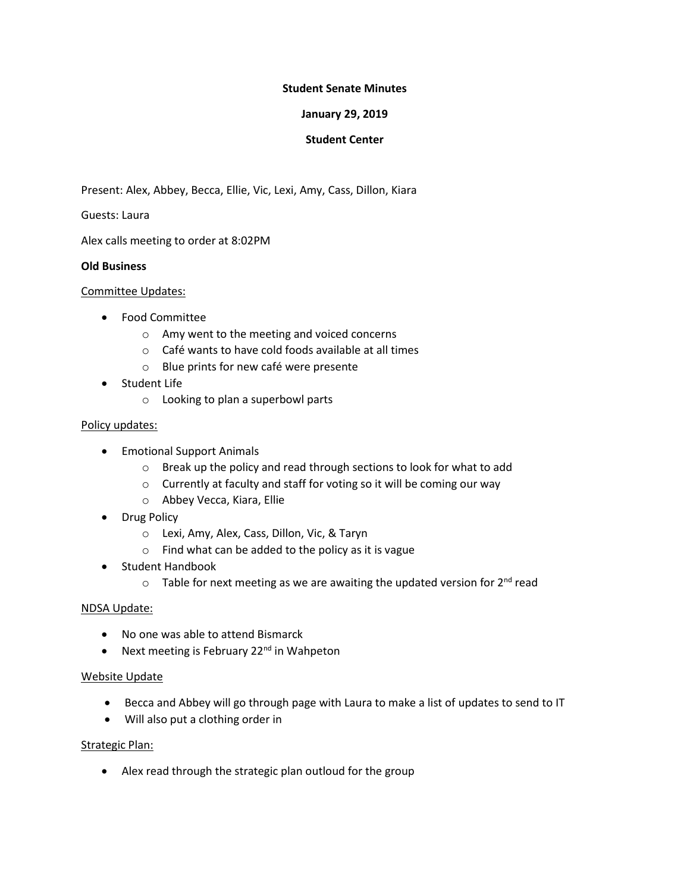# **Student Senate Minutes**

### **January 29, 2019**

# **Student Center**

Present: Alex, Abbey, Becca, Ellie, Vic, Lexi, Amy, Cass, Dillon, Kiara

Guests: Laura

Alex calls meeting to order at 8:02PM

### **Old Business**

#### Committee Updates:

- Food Committee
	- o Amy went to the meeting and voiced concerns
	- o Café wants to have cold foods available at all times
	- o Blue prints for new café were presente
- Student Life
	- o Looking to plan a superbowl parts

#### Policy updates:

- **•** Emotional Support Animals
	- o Break up the policy and read through sections to look for what to add
	- o Currently at faculty and staff for voting so it will be coming our way
	- o Abbey Vecca, Kiara, Ellie
- Drug Policy
	- o Lexi, Amy, Alex, Cass, Dillon, Vic, & Taryn
	- o Find what can be added to the policy as it is vague
- Student Handbook
	- $\circ$  Table for next meeting as we are awaiting the updated version for 2<sup>nd</sup> read

# NDSA Update:

- No one was able to attend Bismarck
- Next meeting is February  $22<sup>nd</sup>$  in Wahpeton

# Website Update

- Becca and Abbey will go through page with Laura to make a list of updates to send to IT
- Will also put a clothing order in

# Strategic Plan:

Alex read through the strategic plan outloud for the group